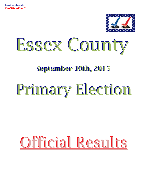

Essex County

# **September 10th, 2015**

# Primary Election

# Official Results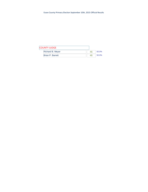| <b>COUNTY JUDGE</b> |                         |    |       |
|---------------------|-------------------------|----|-------|
|                     | <b>Richard B. Meyer</b> |    | 50.0% |
| Brian P. Barrett    |                         | 46 | 50.0% |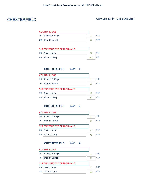# CHESTERFIELD Assy Dist 114th - Cong Dist 21st

| <b>COUNTY JUDGE</b>  |  |     |
|----------------------|--|-----|
| 1C: Richard B. Meyer |  | :ON |
| 2C: Brian P. Barrett |  | :ON |

| <b>SUPERINTENDENT OF HIGHWAYS</b> |     |            |
|-----------------------------------|-----|------------|
| 3B: Darwin Nolan                  |     | RFP        |
| 4B: Philip W. Pray                | 151 | <b>RFP</b> |

## **CHESTERFIELD** ED#: **1**

| <b>COUNTY JUDGE</b>               |    |            |
|-----------------------------------|----|------------|
| 1C: Richard B. Meyer              |    | CON        |
| 2C: Brian P. Barrett              | 2  | CON        |
| <b>SUPERINTENDENT OF HIGHWAYS</b> |    |            |
| Darwin Nolan<br>3B:               | 11 | <b>RFP</b> |
| 4B: Philip W. Pray                | 52 | <b>RFP</b> |

## **CHESTERFIELD** ED#: **2**

| <b>COUNTY JUDGE</b>               |    |            |
|-----------------------------------|----|------------|
| 1C: Richard B. Meyer              |    | CON        |
| 2C: Brian P. Barrett              | 2  | CON        |
| <b>SUPERINTENDENT OF HIGHWAYS</b> |    |            |
| 3B: Darwin Nolan                  | 25 | <b>RFP</b> |
| 4B: Philip W. Pray                | 76 | <b>RFP</b> |

### **CHESTERFIELD** ED#: **4**

| <b>COUNTY JUDGE</b>               |    |            |
|-----------------------------------|----|------------|
| 1C: Richard B. Meyer              | 2  | <b>CON</b> |
| 2C: Brian P. Barrett              | 2  | <b>CON</b> |
| <b>SUPERINTENDENT OF HIGHWAYS</b> |    |            |
| 3B: Darwin Nolan                  | 1  | <b>REP</b> |
| 4B: Philip W. Pray                | 23 | <b>RFP</b> |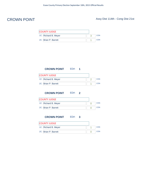# CROWN POINT Assy Dist 114th - Cong Dist 21st

| <b>COUNTY JUDGE</b>  |     |
|----------------------|-----|
| 1C: Richard B. Meyer | CON |
| 2C: Brian P. Barrett | CON |

| <b>CROWN POINT</b>   | ED# |  |            |
|----------------------|-----|--|------------|
| <b>COUNTY JUDGE</b>  |     |  |            |
| 1C: Richard B. Meyer |     |  | <b>CON</b> |
| 2C: Brian P. Barrett |     |  | CON        |

## **CROWN POINT** ED#: **2**

| <b>COUNTY JUDGE</b>  |  |     |
|----------------------|--|-----|
| 1C: Richard B. Meyer |  | CON |
| 2C: Brian P. Barrett |  | CON |

**CROWN POINT** ED#: **3** COUNTY JUDGE

| 1C: Richard B. Meyer |  |  |
|----------------------|--|--|
| 2C: Brian P. Barrett |  |  |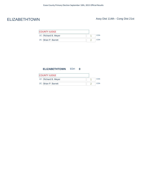# ELIZABETHTOWN Assy Dist 114th - Cong Dist 21st

| <b>COUNTY JUDGE</b>  |  |    |
|----------------------|--|----|
| 1C: Richard B. Meyer |  | ON |
| 2C: Brian P. Barrett |  |    |

### **ELIZABETHTOWN** ED#: **0**

| <b>COUNTY JUDGE</b>  |  |     |
|----------------------|--|-----|
| 1C: Richard B. Meyer |  | :ON |
| 2C: Brian P. Barrett |  | ON  |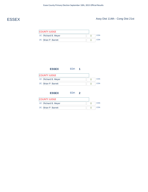# ESSEX Assy Dist 114th - Cong Dist 21st

| <b>COUNTY JUDGE</b>  |  |            |
|----------------------|--|------------|
| 1C: Richard B. Meyer |  | CON        |
| 2C: Brian P. Barrett |  | <b>CON</b> |

| <b>ESSEX</b>         | ED#: 1 |  |            |
|----------------------|--------|--|------------|
| <b>COUNTY JUDGE</b>  |        |  |            |
| 1C: Richard B. Meyer |        |  | <b>CON</b> |
| 2C: Brian P. Barrett |        |  | <b>CON</b> |
|                      |        |  |            |
| <b>ESSEX</b>         | ED#: 2 |  |            |

| <b>COUNTY JUDGE</b>  |  |     |
|----------------------|--|-----|
| 1C: Richard B. Meyer |  | CON |
| 2C: Brian P. Barrett |  | CON |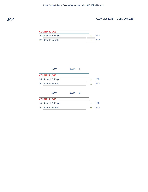

# JAY Assy Dist 114th - Cong Dist 21st

| <b>COUNTY JUDGE</b>  |  |            |
|----------------------|--|------------|
| 1C: Richard B. Meyer |  | <b>CON</b> |
| 2C: Brian P. Barrett |  | <b>CON</b> |

| <b>JAY</b>           | ED#: 1 |   |            |
|----------------------|--------|---|------------|
| <b>COUNTY JUDGE</b>  |        |   |            |
| 1C: Richard B. Meyer |        | 2 | <b>CON</b> |
| 2C: Brian P. Barrett |        | 1 | <b>CON</b> |
| <b>JAY</b>           | ED#: 2 |   |            |
| <b>COUNTY JUDGE</b>  |        |   |            |

| <b>COUNTY JUDGE</b>  |  |     |
|----------------------|--|-----|
| 1C: Richard B. Meyer |  | CON |
| 2C: Brian P. Barrett |  | CON |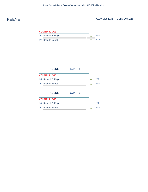# KEENE Assy Dist 114th - Cong Dist 21st

| <b>COUNTY JUDGE</b>  |  |     |
|----------------------|--|-----|
| 1C: Richard B. Meyer |  | CON |
| 2C: Brian P. Barrett |  | CON |

|                                                                 | <b>KEENE</b> | ED#: 1 |   |            |
|-----------------------------------------------------------------|--------------|--------|---|------------|
| <b>COUNTY JUDGE</b>                                             |              |        |   |            |
| 1C: Richard B. Meyer                                            |              |        | 0 | <b>CON</b> |
| 2C: Brian P. Barrett                                            |              |        |   | <b>CON</b> |
|                                                                 | <b>KEENE</b> | ED#: 2 |   |            |
| $C$ $C$ $D$ $D$ $E$ $T$ $L$ $D$ $F$ $F$ $F$ $F$ $F$ $F$ $F$ $F$ |              |        |   |            |

| <b>COUNTY JUDGE</b>  |     |
|----------------------|-----|
| 1C: Richard B. Meyer | CON |
| 2C: Brian P. Barrett | CON |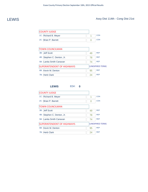# LEWIS Assy Dist 114th - Cong Dist 21st

| <b>COUNTY JUDGE</b>  |  |     |
|----------------------|--|-----|
| 1C: Richard B. Meyer |  | CON |
| 2C: Brian P. Barrett |  | CON |

| <b>TOWN COUNCILMAN</b>            |    |                  |
|-----------------------------------|----|------------------|
| 3B: Jeff Scott                    | 49 | <b>RFP</b>       |
| 4B: Stephen C. Denton, Jr.        | 78 | <b>REP</b>       |
| 5B: Lanita Smith Canavan          | 74 | <b>REP</b>       |
| <b>SUPERINTENDENT OF HIGHWAYS</b> |    | (UNEXPIRED TERM) |
| 6B: Kevin M. Denton               | 95 | <b>REP</b>       |
| 7B: Herb Clark                    | 24 | <b>RFP</b>       |

## **LEWIS** ED#: **0** COUNTY JUDGE 1C: Richard B. Meyer 1 2C: Brian P. Barrett 0 CON CON 3B: Jeff Scott 49 REP 4B: Stephen C. Denton, Jr. 78 REP TOWN COUNCILMAN 5B: Lanita Smith Canavan 74 REP 6B: Kevin M. Denton 95 REP 7B: Herb Clark 24 REP SUPERINTENDENT OF HIGHWAYS (UNEXPIRED TERM)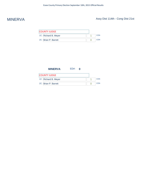# MINERVA Assy Dist 114th - Cong Dist 21st

| <b>COUNTY JUDGE</b>  |  |     |
|----------------------|--|-----|
| 1C: Richard B. Meyer |  | CON |
| 2C: Brian P. Barrett |  | CON |

| <b>MINERVA</b>       | ED# |  |            |
|----------------------|-----|--|------------|
| COUNTY JUDGE         |     |  |            |
| 1C: Richard B. Meyer |     |  | <b>CON</b> |
| 2C: Brian P. Barrett |     |  | CON        |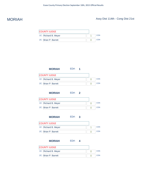# MORIAH Assy Dist 114th - Cong Dist 21st

| <b>COUNTY JUDGE</b>  |  |     |
|----------------------|--|-----|
| 1C: Richard B. Meyer |  | CON |
| 2C: Brian P. Barrett |  | CON |

| <b>MORIAH</b>        | ED#: | п |  |            |
|----------------------|------|---|--|------------|
| <b>COUNTY JUDGE</b>  |      |   |  |            |
| 1C: Richard B. Meyer |      |   |  | <b>CON</b> |
| 2C: Brian P. Barrett |      |   |  | CON        |

## **MORIAH** ED#: **2**

| <b>COUNTY JUDGE</b>  |    |
|----------------------|----|
| 1C: Richard B. Meyer |    |
| 2C: Brian P. Barrett | ωN |

| <b>MORIAH</b>        | ED#: 3 |  |     |
|----------------------|--------|--|-----|
| <b>COUNTY JUDGE</b>  |        |  |     |
| 1C: Richard B. Meyer |        |  | CON |
| 2C: Brian P. Barrett |        |  | CON |

## **MORIAH** ED#: **4** COUNTY JUDGE 1C: Richard B. Meyer 0 2C: Brian P. Barrett 0 **CON CON**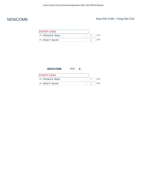# NEWCOMB Assy Dist 114th - Cong Dist 21st

| <b>COUNTY JUDGE</b>  |  |     |
|----------------------|--|-----|
| 1C: Richard B. Meyer |  | :ON |
| 2C: Brian P. Barrett |  | CON |

| <b>NEWCOMB</b>       | ED# |  |            |
|----------------------|-----|--|------------|
| <b>COUNTY JUDGE</b>  |     |  |            |
| 1C: Richard B. Meyer |     |  | <b>CON</b> |
| 2C: Brian P. Barrett |     |  | <b>CON</b> |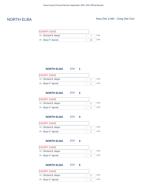# NORTH ELBA Assy Dist 114th - Cong Dist 21st

| <b>COUNTY JUDGE</b>  |    |     |
|----------------------|----|-----|
| 1C: Richard B. Meyer |    | CON |
| 2C: Brian P. Barrett | 16 | CON |



| <b>COUNTY JUDGE</b>  |  |  |
|----------------------|--|--|
| 1C: Richard B. Meyer |  |  |
| 2C: Brian P. Barrett |  |  |

## **NORTH ELBA** ED#: **2**

| <b>COUNTY JUDGE</b>  |  |     |
|----------------------|--|-----|
| 1C: Richard B. Meyer |  | CON |
| 2C: Brian P. Barrett |  | CON |

**NORTH ELBA** ED#: **3**

| <b>COUNTY JUDGE</b>  |  |     |
|----------------------|--|-----|
| 1C: Richard B. Meyer |  | :ON |
| 2C: Brian P. Barrett |  | OΝ  |

### **NORTH ELBA** ED#: **4**

| <b>COUNTY JUDGE</b>  |      |
|----------------------|------|
| 1C: Richard B. Meyer | CON  |
| 2C: Brian P. Barrett | C.ON |

## **NORTH ELBA** ED#: **5**

| <b>COUNTY JUDGE</b>  |     |
|----------------------|-----|
| 1C: Richard B. Meyer | CON |
| 2C: Brian P. Barrett | CON |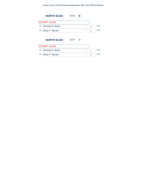### Essex County Primary Election September 10th, 2015 Official Results

| ED#: | 6 |  |            |
|------|---|--|------------|
|      |   |  |            |
|      |   |  | <b>CON</b> |
|      |   |  | CON        |
|      |   |  |            |

## **NORTH ELBA** ED#: **7**

| <b>COUNTY JUDGE</b>  |  |    |
|----------------------|--|----|
| 1C: Richard B. Meyer |  | ΩN |
| 2C: Brian P. Barrett |  |    |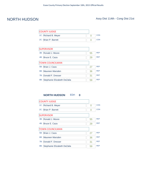# NORTH HUDSON Assy Dist 114th - Cong Dist 21st

| <b>COUNTY JUDGE</b>  |  |     |
|----------------------|--|-----|
| 1C: Richard B. Meyer |  | CON |
| 2C: Brian P. Barrett |  | CON |

| 55 | <b>RFP</b> |
|----|------------|
| 29 | <b>RFP</b> |
|    |            |
| 27 | <b>RFP</b> |
| 36 | <b>RFP</b> |
| 31 | <b>RFP</b> |
| 59 | <b>RFP</b> |
|    |            |

## **NORTH HUDSON** ED#: **0**

| <b>COUNTY JUDGE</b>             |    |            |
|---------------------------------|----|------------|
| 1C: Richard B. Meyer            | 0  | <b>CON</b> |
| 2C: Brian P. Barrett            | 0  | CON        |
| <b>SUPERVISOR</b>               |    |            |
| 3B: Ronald J. Moore             | 55 | <b>REP</b> |
| 4B: Bruce E. Caza               | 29 | <b>REP</b> |
| <b>TOWN COUNCILMAN</b>          |    |            |
| 5B: Brian J. Caza               | 27 | <b>REP</b> |
| 6B: Maureen Marsden             | 36 | <b>REP</b> |
| 7B: Donald F. Dresser           | 31 | <b>REP</b> |
| 8B: Stephanie Elizabeth DeZalia | 59 | <b>REP</b> |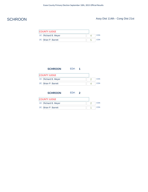# SCHROON Assy Dist 114th - Cong Dist 21st

| <b>COUNTY JUDGE</b>  |     |
|----------------------|-----|
| 1C: Richard B. Meyer | CON |
| 2C: Brian P. Barrett | :ON |

| <b>SCHROON</b>       | ED#: 1 |   |   |            |
|----------------------|--------|---|---|------------|
| <b>COUNTY JUDGE</b>  |        |   |   |            |
| 1C: Richard B. Meyer |        |   | 2 | <b>CON</b> |
| 2C: Brian P. Barrett |        |   |   | <b>CON</b> |
|                      |        |   |   |            |
| <b>SCHROON</b>       | ED#:   | 2 |   |            |

| <b>COUNTY JUDGE</b>  |  |     |
|----------------------|--|-----|
| 1C: Richard B. Meyer |  | CON |
| 2C: Brian P. Barrett |  | CON |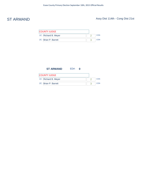# ST ARMAND Assy Dist 114th - Cong Dist 21st

| <b>COUNTY JUDGE</b>  |  |  |
|----------------------|--|--|
| 1C: Richard B. Meyer |  |  |
| 2C: Brian P. Barrett |  |  |

| <b>ST ARMAND</b>     | ED# |  |            |
|----------------------|-----|--|------------|
| <b>COUNTY JUDGE</b>  |     |  |            |
| 1C: Richard B. Meyer |     |  | <b>CON</b> |
| 2C: Brian P. Barrett |     |  | CON        |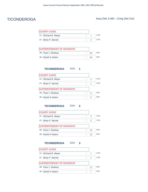# TICONDEROGA Assy Dist 114th - Cong Dist 21st

| <b>COUNTY JUDGE</b>  |  |      |
|----------------------|--|------|
| 1C: Richard B. Meyer |  | CON: |
| 2C: Brian P. Barrett |  | CON  |

| <b>SUPERINTENDENT OF HIGHWAYS</b> |    |            |
|-----------------------------------|----|------------|
| 3B: Paul J. Sharkey               | 68 | RFP        |
| 4B: David A Iuliano               | 69 | <b>RFP</b> |

## **TICONDEROGA** ED#: **1**

| <b>COUNTY JUDGE</b>               |    |            |
|-----------------------------------|----|------------|
| 1C: Richard B. Meyer              | 3  | CON        |
| 2C: Brian P. Barrett              |    | CON        |
| <b>SUPERINTENDENT OF HIGHWAYS</b> |    |            |
| 3B: Paul J. Sharkey               | 11 | <b>RFP</b> |
| 4B: David A Iuliano               | h  | <b>RFP</b> |

### **TICONDEROGA** ED#: **2**

| <b>COUNTY JUDGE</b>               |    |            |
|-----------------------------------|----|------------|
| 1C: Richard B. Meyer              | 3  | CON        |
| 2C: Brian P. Barrett              |    | CON        |
| <b>SUPERINTENDENT OF HIGHWAYS</b> |    |            |
| 3B: Paul J. Sharkey               | 16 | <b>RFP</b> |
| 4B: David A Iuliano               | 23 | <b>RFP</b> |

## **TICONDEROGA** ED#: **3**

| <b>COUNTY JUDGE</b>        |    |            |
|----------------------------|----|------------|
| 1C: Richard B. Meyer       |    | <b>CON</b> |
| 2C: Brian P. Barrett       |    | <b>CON</b> |
| SUPERINTENDENT OF HIGHWAYS |    |            |
| 3B: Paul J. Sharkey        | 12 | <b>RFP</b> |
| 4B: David A Iuliano        |    | <b>RFP</b> |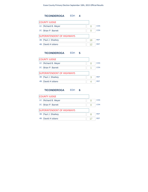

### **TICONDEROGA** ED#: **5**

| <b>COUNTY JUDGE</b>               |   |            |
|-----------------------------------|---|------------|
| 1C: Richard B. Meyer              |   | CON        |
| 2C: Brian P. Barrett              |   | CON        |
| <b>SUPERINTENDENT OF HIGHWAYS</b> |   |            |
| 3B: Paul J. Sharkey               | 3 | <b>RFP</b> |
| 4B: David A Iuliano               |   | <b>RFP</b> |
|                                   |   |            |

## **TICONDEROGA** ED#: **6**

| <b>COUNTY JUDGE</b>        |    |            |
|----------------------------|----|------------|
| 1C: Richard B. Meyer       |    | <b>CON</b> |
| 2C: Brian P. Barrett       |    | <b>CON</b> |
| SUPERINTENDENT OF HIGHWAYS |    |            |
| 3B: Paul J. Sharkey        | 8  | <b>RFP</b> |
| 4B: David A Iuliano        | 17 | <b>RFP</b> |
|                            |    |            |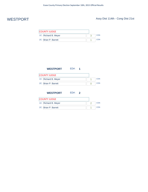# WESTPORT Assy Dist 114th - Cong Dist 21st

| <b>COUNTY JUDGE</b>  |  |     |
|----------------------|--|-----|
| 1C: Richard B. Meyer |  | CON |
| 2C: Brian P. Barrett |  | CON |

| <b>WESTPORT</b>      | ED#: | п |  |            |
|----------------------|------|---|--|------------|
| <b>COUNTY JUDGE</b>  |      |   |  |            |
| 1C: Richard B. Meyer |      |   |  | <b>CON</b> |
| 2C: Brian P. Barrett |      |   |  | <b>CON</b> |
|                      |      |   |  |            |

# **WESTPORT** ED#: **2**

| <b>COUNTY JUDGE</b>  |  |     |
|----------------------|--|-----|
| 1C: Richard B. Meyer |  | CON |
| 2C: Brian P. Barrett |  | CON |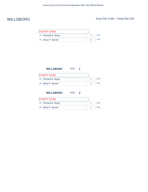# WILLSBORO Assy Dist 114th - Cong Dist 21st

| <b>COUNTY JUDGE</b>  |     |
|----------------------|-----|
| 1C: Richard B. Meyer | CON |
| 2C: Brian P. Barrett | CON |

| <b>WILLSBORO</b>     | ED#: | 1 |  |            |
|----------------------|------|---|--|------------|
| <b>COUNTY JUDGE</b>  |      |   |  |            |
| 1C: Richard B. Meyer |      |   |  | <b>CON</b> |
| 2C: Brian P. Barrett |      |   |  | CON        |
|                      |      |   |  |            |

## **WILLSBORO** ED#: **2**

| <b>COUNTY JUDGE</b>  |  |     |
|----------------------|--|-----|
| 1C: Richard B. Meyer |  | CON |
| 2C: Brian P. Barrett |  | CON |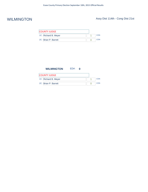# WILMINGTON Assy Dist 114th - Cong Dist 21st

| <b>COUNTY JUDGE</b>  |  |  |     |
|----------------------|--|--|-----|
| 1C: Richard B. Meyer |  |  | CON |
| 2C: Brian P. Barrett |  |  | CON |

| <b>WILMINGTON</b>    | ED#: |  |            |
|----------------------|------|--|------------|
| COUNTY JUDGE         |      |  |            |
| 1C: Richard B. Meyer |      |  | <b>CON</b> |
| 2C: Brian P. Barrett |      |  | CON        |